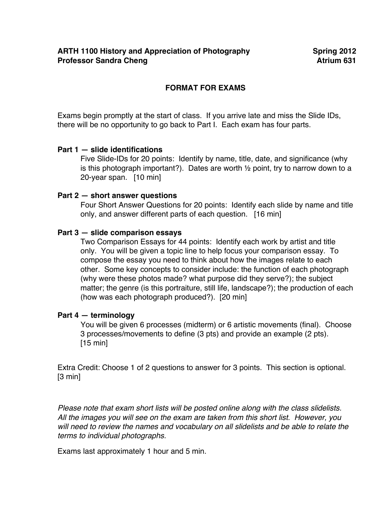# **FORMAT FOR EXAMS**

Exams begin promptly at the start of class. If you arrive late and miss the Slide IDs, there will be no opportunity to go back to Part I. Each exam has four parts.

# **Part 1 — slide identifications**

Five Slide-IDs for 20 points: Identify by name, title, date, and significance (why is this photograph important?). Dates are worth  $\frac{1}{2}$  point, try to narrow down to a 20-year span. [10 min]

#### **Part 2 — short answer questions**

Four Short Answer Questions for 20 points: Identify each slide by name and title only, and answer different parts of each question. [16 min]

# **Part 3 — slide comparison essays**

Two Comparison Essays for 44 points: Identify each work by artist and title only. You will be given a topic line to help focus your comparison essay. To compose the essay you need to think about how the images relate to each other. Some key concepts to consider include: the function of each photograph (why were these photos made? what purpose did they serve?); the subject matter; the genre (is this portraiture, still life, landscape?); the production of each (how was each photograph produced?). [20 min]

#### **Part 4 — terminology**

You will be given 6 processes (midterm) or 6 artistic movements (final). Choose 3 processes/movements to define (3 pts) and provide an example (2 pts). [15 min]

Extra Credit: Choose 1 of 2 questions to answer for 3 points. This section is optional. [3 min]

*Please note that exam short lists will be posted online along with the class slidelists. All the images you will see on the exam are taken from this short list. However, you will need to review the names and vocabulary on all slidelists and be able to relate the terms to individual photographs.* 

Exams last approximately 1 hour and 5 min.